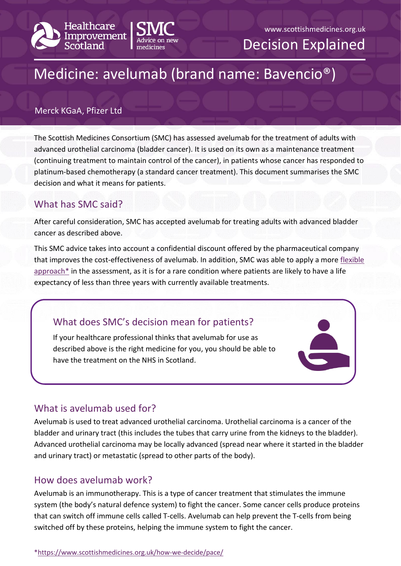



Decision Explained

# Medicine: avelumab (brand name: Bavencio®)

#### Merck KGaA, Pfizer Ltd

The Scottish Medicines Consortium (SMC) has assessed avelumab for the treatment of adults with advanced urothelial carcinoma (bladder cancer). It is used on its own as a maintenance treatment (continuing treatment to maintain control of the cancer), in patients whose cancer has responded to platinum-based chemotherapy (a standard cancer treatment). This document summarises the SMC decision and what it means for patients.

# What has SMC said?

After careful consideration, SMC has accepted avelumab for treating adults with advanced bladder cancer as described above.

This SMC advice takes into account a confidential discount offered by the pharmaceutical company that improves the cost-effectiveness of avelumab. In addition, SMC was able to apply a more [flexible](https://www.scottishmedicines.org.uk/how-we-decide/pace/)   $approach*$  in the assessment, as it is for a rare condition where patients are likely to have a life expectancy of less than three years with currently available treatments.

# What does SMC's decision mean for patients?

If your healthcare professional thinks that avelumab for use as described above is the right medicine for you, you should be able to have the treatment on the NHS in Scotland.

### What is avelumab used for?

Avelumab is used to treat advanced urothelial carcinoma. Urothelial carcinoma is a cancer of the bladder and urinary tract (this includes the tubes that carry urine from the kidneys to the bladder). Advanced urothelial carcinoma may be locally advanced (spread near where it started in the bladder and urinary tract) or metastatic (spread to other parts of the body).

### How does avelumab work?

Avelumab is an immunotherapy. This is a type of cancer treatment that stimulates the immune system (the body's natural defence system) to fight the cancer. Some cancer cells produce proteins that can switch off immune cells called T-cells. Avelumab can help prevent the T-cells from being switched off by these proteins, helping the immune system to fight the cancer.